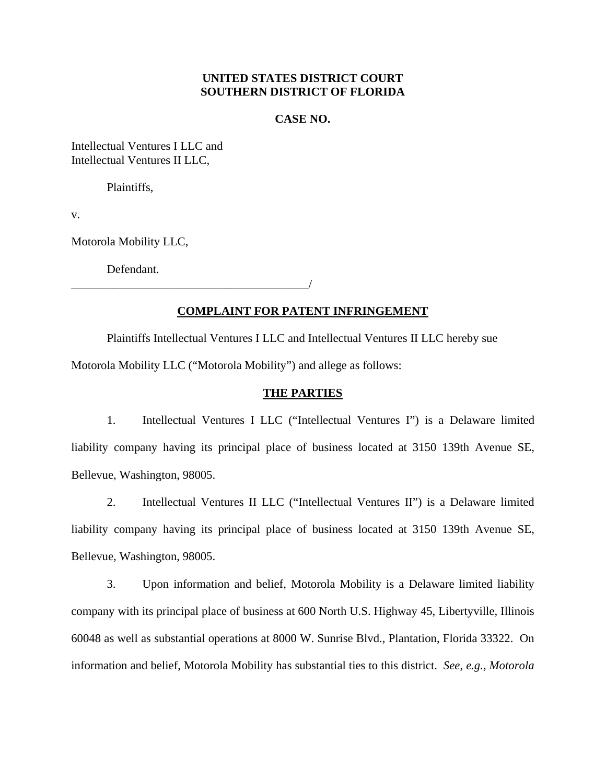# **UNITED STATES DISTRICT COURT SOUTHERN DISTRICT OF FLORIDA**

## **CASE NO.**

Intellectual Ventures I LLC and Intellectual Ventures II LLC,

Plaintiffs,

v.

Motorola Mobility LLC,

Defendant.

\_\_\_\_\_\_\_\_\_\_\_\_\_\_\_\_\_\_\_\_\_\_\_\_\_\_\_\_\_\_\_\_\_\_\_\_\_\_\_\_/

# **COMPLAINT FOR PATENT INFRINGEMENT**

Plaintiffs Intellectual Ventures I LLC and Intellectual Ventures II LLC hereby sue Motorola Mobility LLC ("Motorola Mobility") and allege as follows:

## **THE PARTIES**

1. Intellectual Ventures I LLC ("Intellectual Ventures I") is a Delaware limited liability company having its principal place of business located at 3150 139th Avenue SE, Bellevue, Washington, 98005.

2. Intellectual Ventures II LLC ("Intellectual Ventures II") is a Delaware limited liability company having its principal place of business located at 3150 139th Avenue SE, Bellevue, Washington, 98005.

3. Upon information and belief, Motorola Mobility is a Delaware limited liability company with its principal place of business at 600 North U.S. Highway 45, Libertyville, Illinois 60048 as well as substantial operations at 8000 W. Sunrise Blvd., Plantation, Florida 33322. On information and belief, Motorola Mobility has substantial ties to this district. *See*, *e.g.*, *Motorola*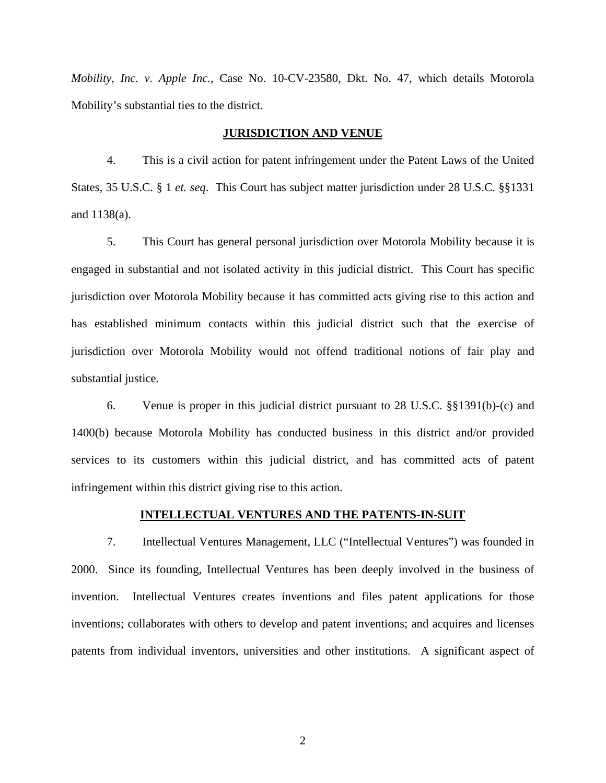*Mobility, Inc. v. Apple Inc.*, Case No. 10-CV-23580, Dkt. No. 47, which details Motorola Mobility's substantial ties to the district.

## **JURISDICTION AND VENUE**

4. This is a civil action for patent infringement under the Patent Laws of the United States, 35 U.S.C. § 1 *et. seq*. This Court has subject matter jurisdiction under 28 U.S.C. §§1331 and 1138(a).

5. This Court has general personal jurisdiction over Motorola Mobility because it is engaged in substantial and not isolated activity in this judicial district. This Court has specific jurisdiction over Motorola Mobility because it has committed acts giving rise to this action and has established minimum contacts within this judicial district such that the exercise of jurisdiction over Motorola Mobility would not offend traditional notions of fair play and substantial justice.

6. Venue is proper in this judicial district pursuant to 28 U.S.C. §§1391(b)-(c) and 1400(b) because Motorola Mobility has conducted business in this district and/or provided services to its customers within this judicial district, and has committed acts of patent infringement within this district giving rise to this action.

## **INTELLECTUAL VENTURES AND THE PATENTS-IN-SUIT**

7. Intellectual Ventures Management, LLC ("Intellectual Ventures") was founded in 2000. Since its founding, Intellectual Ventures has been deeply involved in the business of invention. Intellectual Ventures creates inventions and files patent applications for those inventions; collaborates with others to develop and patent inventions; and acquires and licenses patents from individual inventors, universities and other institutions. A significant aspect of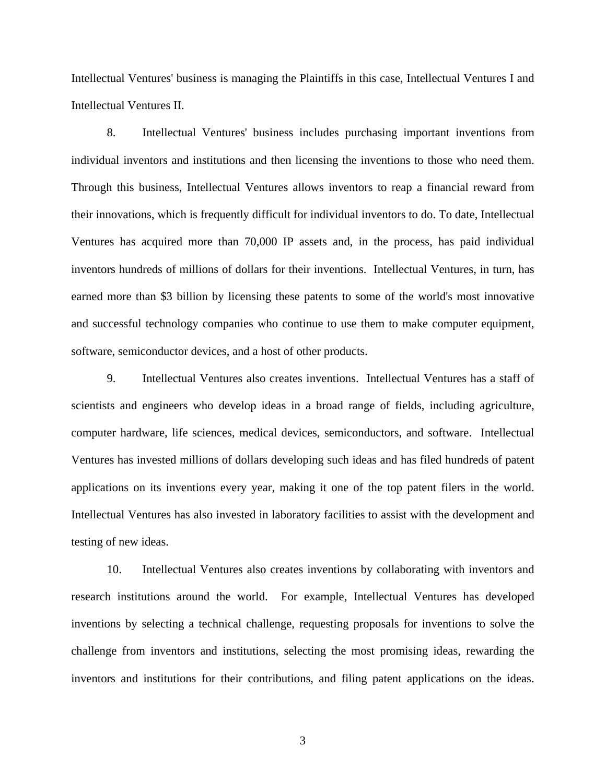Intellectual Ventures' business is managing the Plaintiffs in this case, Intellectual Ventures I and Intellectual Ventures II.

8. Intellectual Ventures' business includes purchasing important inventions from individual inventors and institutions and then licensing the inventions to those who need them. Through this business, Intellectual Ventures allows inventors to reap a financial reward from their innovations, which is frequently difficult for individual inventors to do. To date, Intellectual Ventures has acquired more than 70,000 IP assets and, in the process, has paid individual inventors hundreds of millions of dollars for their inventions. Intellectual Ventures, in turn, has earned more than \$3 billion by licensing these patents to some of the world's most innovative and successful technology companies who continue to use them to make computer equipment, software, semiconductor devices, and a host of other products.

9. Intellectual Ventures also creates inventions. Intellectual Ventures has a staff of scientists and engineers who develop ideas in a broad range of fields, including agriculture, computer hardware, life sciences, medical devices, semiconductors, and software. Intellectual Ventures has invested millions of dollars developing such ideas and has filed hundreds of patent applications on its inventions every year, making it one of the top patent filers in the world. Intellectual Ventures has also invested in laboratory facilities to assist with the development and testing of new ideas.

10. Intellectual Ventures also creates inventions by collaborating with inventors and research institutions around the world. For example, Intellectual Ventures has developed inventions by selecting a technical challenge, requesting proposals for inventions to solve the challenge from inventors and institutions, selecting the most promising ideas, rewarding the inventors and institutions for their contributions, and filing patent applications on the ideas.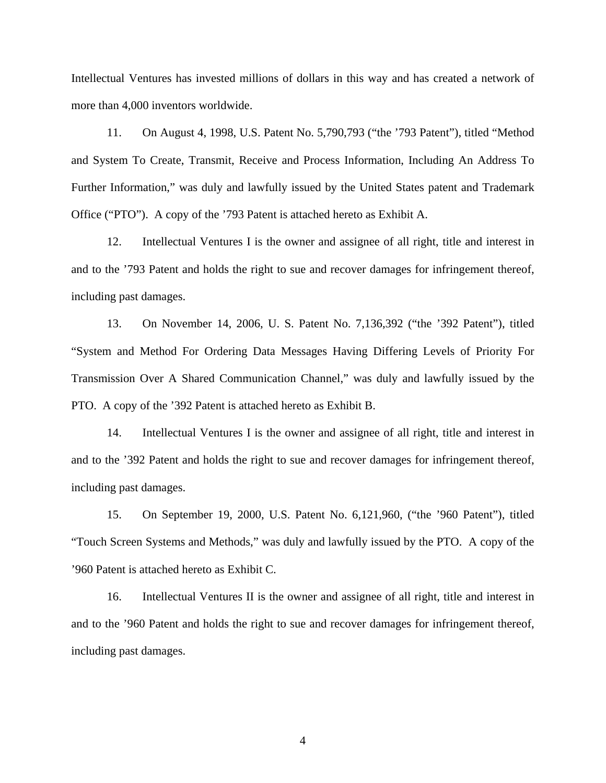Intellectual Ventures has invested millions of dollars in this way and has created a network of more than 4,000 inventors worldwide.

11. On August 4, 1998, U.S. Patent No. 5,790,793 ("the '793 Patent"), titled "Method and System To Create, Transmit, Receive and Process Information, Including An Address To Further Information," was duly and lawfully issued by the United States patent and Trademark Office ("PTO"). A copy of the '793 Patent is attached hereto as Exhibit A.

12. Intellectual Ventures I is the owner and assignee of all right, title and interest in and to the '793 Patent and holds the right to sue and recover damages for infringement thereof, including past damages.

13. On November 14, 2006, U. S. Patent No. 7,136,392 ("the '392 Patent"), titled "System and Method For Ordering Data Messages Having Differing Levels of Priority For Transmission Over A Shared Communication Channel," was duly and lawfully issued by the PTO. A copy of the '392 Patent is attached hereto as Exhibit B.

14. Intellectual Ventures I is the owner and assignee of all right, title and interest in and to the '392 Patent and holds the right to sue and recover damages for infringement thereof, including past damages.

15. On September 19, 2000, U.S. Patent No. 6,121,960, ("the '960 Patent"), titled "Touch Screen Systems and Methods," was duly and lawfully issued by the PTO. A copy of the '960 Patent is attached hereto as Exhibit C.

16. Intellectual Ventures II is the owner and assignee of all right, title and interest in and to the '960 Patent and holds the right to sue and recover damages for infringement thereof, including past damages.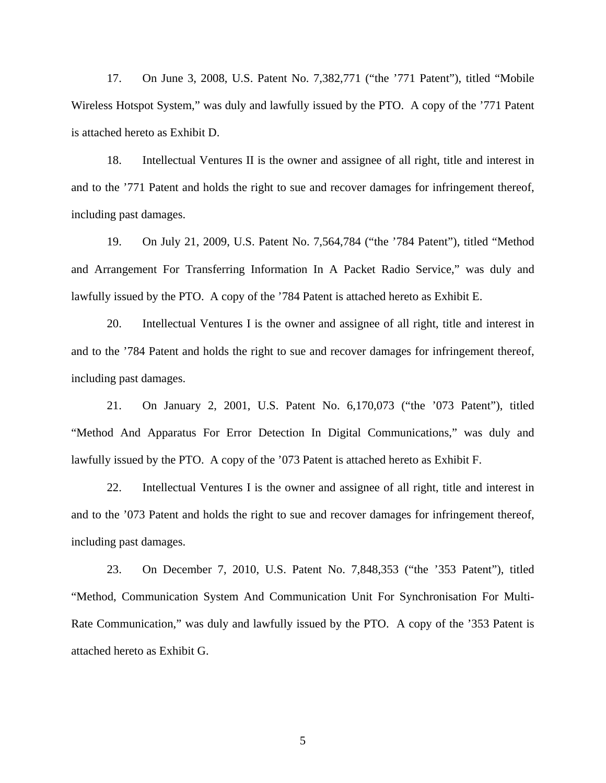17. On June 3, 2008, U.S. Patent No. 7,382,771 ("the '771 Patent"), titled "Mobile Wireless Hotspot System," was duly and lawfully issued by the PTO. A copy of the '771 Patent is attached hereto as Exhibit D.

18. Intellectual Ventures II is the owner and assignee of all right, title and interest in and to the '771 Patent and holds the right to sue and recover damages for infringement thereof, including past damages.

19. On July 21, 2009, U.S. Patent No. 7,564,784 ("the '784 Patent"), titled "Method and Arrangement For Transferring Information In A Packet Radio Service," was duly and lawfully issued by the PTO. A copy of the '784 Patent is attached hereto as Exhibit E.

20. Intellectual Ventures I is the owner and assignee of all right, title and interest in and to the '784 Patent and holds the right to sue and recover damages for infringement thereof, including past damages.

21. On January 2, 2001, U.S. Patent No. 6,170,073 ("the '073 Patent"), titled "Method And Apparatus For Error Detection In Digital Communications," was duly and lawfully issued by the PTO. A copy of the '073 Patent is attached hereto as Exhibit F.

22. Intellectual Ventures I is the owner and assignee of all right, title and interest in and to the '073 Patent and holds the right to sue and recover damages for infringement thereof, including past damages.

23. On December 7, 2010, U.S. Patent No. 7,848,353 ("the '353 Patent"), titled "Method, Communication System And Communication Unit For Synchronisation For Multi-Rate Communication," was duly and lawfully issued by the PTO. A copy of the '353 Patent is attached hereto as Exhibit G.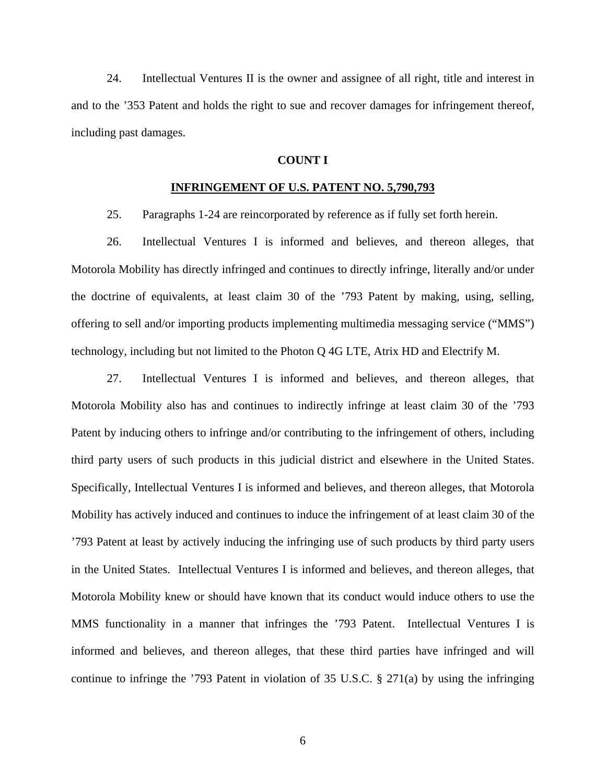24. Intellectual Ventures II is the owner and assignee of all right, title and interest in and to the '353 Patent and holds the right to sue and recover damages for infringement thereof, including past damages.

## **COUNT I**

## **INFRINGEMENT OF U.S. PATENT NO. 5,790,793**

25. Paragraphs 1-24 are reincorporated by reference as if fully set forth herein.

26. Intellectual Ventures I is informed and believes, and thereon alleges, that Motorola Mobility has directly infringed and continues to directly infringe, literally and/or under the doctrine of equivalents, at least claim 30 of the '793 Patent by making, using, selling, offering to sell and/or importing products implementing multimedia messaging service ("MMS") technology, including but not limited to the Photon Q 4G LTE, Atrix HD and Electrify M.

27. Intellectual Ventures I is informed and believes, and thereon alleges, that Motorola Mobility also has and continues to indirectly infringe at least claim 30 of the '793 Patent by inducing others to infringe and/or contributing to the infringement of others, including third party users of such products in this judicial district and elsewhere in the United States. Specifically, Intellectual Ventures I is informed and believes, and thereon alleges, that Motorola Mobility has actively induced and continues to induce the infringement of at least claim 30 of the '793 Patent at least by actively inducing the infringing use of such products by third party users in the United States. Intellectual Ventures I is informed and believes, and thereon alleges, that Motorola Mobility knew or should have known that its conduct would induce others to use the MMS functionality in a manner that infringes the '793 Patent. Intellectual Ventures I is informed and believes, and thereon alleges, that these third parties have infringed and will continue to infringe the '793 Patent in violation of 35 U.S.C. § 271(a) by using the infringing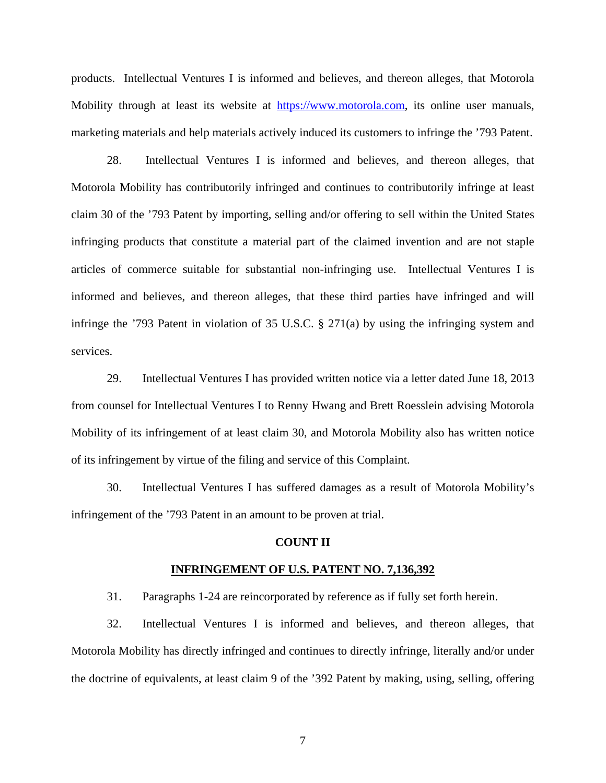products. Intellectual Ventures I is informed and believes, and thereon alleges, that Motorola Mobility through at least its website at https://www.motorola.com, its online user manuals, marketing materials and help materials actively induced its customers to infringe the '793 Patent.

28. Intellectual Ventures I is informed and believes, and thereon alleges, that Motorola Mobility has contributorily infringed and continues to contributorily infringe at least claim 30 of the '793 Patent by importing, selling and/or offering to sell within the United States infringing products that constitute a material part of the claimed invention and are not staple articles of commerce suitable for substantial non-infringing use. Intellectual Ventures I is informed and believes, and thereon alleges, that these third parties have infringed and will infringe the '793 Patent in violation of 35 U.S.C. § 271(a) by using the infringing system and services.

29. Intellectual Ventures I has provided written notice via a letter dated June 18, 2013 from counsel for Intellectual Ventures I to Renny Hwang and Brett Roesslein advising Motorola Mobility of its infringement of at least claim 30, and Motorola Mobility also has written notice of its infringement by virtue of the filing and service of this Complaint.

30. Intellectual Ventures I has suffered damages as a result of Motorola Mobility's infringement of the '793 Patent in an amount to be proven at trial.

## **COUNT II**

#### **INFRINGEMENT OF U.S. PATENT NO. 7,136,392**

31. Paragraphs 1-24 are reincorporated by reference as if fully set forth herein.

32. Intellectual Ventures I is informed and believes, and thereon alleges, that Motorola Mobility has directly infringed and continues to directly infringe, literally and/or under the doctrine of equivalents, at least claim 9 of the '392 Patent by making, using, selling, offering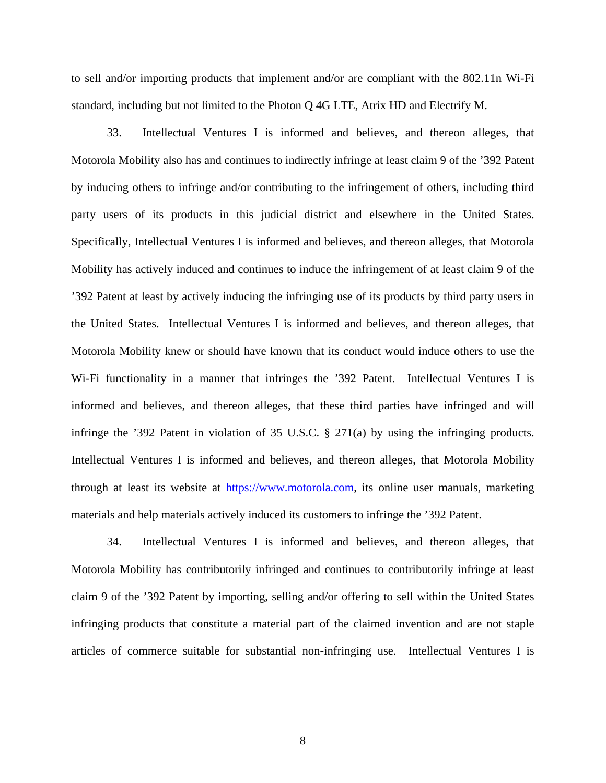to sell and/or importing products that implement and/or are compliant with the 802.11n Wi-Fi standard, including but not limited to the Photon Q 4G LTE, Atrix HD and Electrify M.

33. Intellectual Ventures I is informed and believes, and thereon alleges, that Motorola Mobility also has and continues to indirectly infringe at least claim 9 of the '392 Patent by inducing others to infringe and/or contributing to the infringement of others, including third party users of its products in this judicial district and elsewhere in the United States. Specifically, Intellectual Ventures I is informed and believes, and thereon alleges, that Motorola Mobility has actively induced and continues to induce the infringement of at least claim 9 of the '392 Patent at least by actively inducing the infringing use of its products by third party users in the United States. Intellectual Ventures I is informed and believes, and thereon alleges, that Motorola Mobility knew or should have known that its conduct would induce others to use the Wi-Fi functionality in a manner that infringes the '392 Patent. Intellectual Ventures I is informed and believes, and thereon alleges, that these third parties have infringed and will infringe the '392 Patent in violation of 35 U.S.C. § 271(a) by using the infringing products. Intellectual Ventures I is informed and believes, and thereon alleges, that Motorola Mobility through at least its website at https://www.motorola.com, its online user manuals, marketing materials and help materials actively induced its customers to infringe the '392 Patent.

34. Intellectual Ventures I is informed and believes, and thereon alleges, that Motorola Mobility has contributorily infringed and continues to contributorily infringe at least claim 9 of the '392 Patent by importing, selling and/or offering to sell within the United States infringing products that constitute a material part of the claimed invention and are not staple articles of commerce suitable for substantial non-infringing use. Intellectual Ventures I is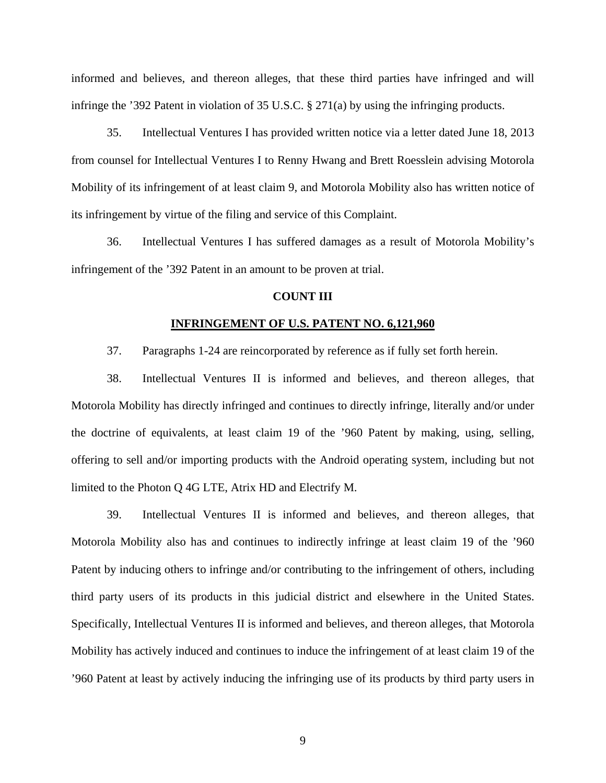informed and believes, and thereon alleges, that these third parties have infringed and will infringe the '392 Patent in violation of 35 U.S.C. § 271(a) by using the infringing products.

35. Intellectual Ventures I has provided written notice via a letter dated June 18, 2013 from counsel for Intellectual Ventures I to Renny Hwang and Brett Roesslein advising Motorola Mobility of its infringement of at least claim 9, and Motorola Mobility also has written notice of its infringement by virtue of the filing and service of this Complaint.

36. Intellectual Ventures I has suffered damages as a result of Motorola Mobility's infringement of the '392 Patent in an amount to be proven at trial.

## **COUNT III**

#### **INFRINGEMENT OF U.S. PATENT NO. 6,121,960**

37. Paragraphs 1-24 are reincorporated by reference as if fully set forth herein.

38. Intellectual Ventures II is informed and believes, and thereon alleges, that Motorola Mobility has directly infringed and continues to directly infringe, literally and/or under the doctrine of equivalents, at least claim 19 of the '960 Patent by making, using, selling, offering to sell and/or importing products with the Android operating system, including but not limited to the Photon Q 4G LTE, Atrix HD and Electrify M.

39. Intellectual Ventures II is informed and believes, and thereon alleges, that Motorola Mobility also has and continues to indirectly infringe at least claim 19 of the '960 Patent by inducing others to infringe and/or contributing to the infringement of others, including third party users of its products in this judicial district and elsewhere in the United States. Specifically, Intellectual Ventures II is informed and believes, and thereon alleges, that Motorola Mobility has actively induced and continues to induce the infringement of at least claim 19 of the '960 Patent at least by actively inducing the infringing use of its products by third party users in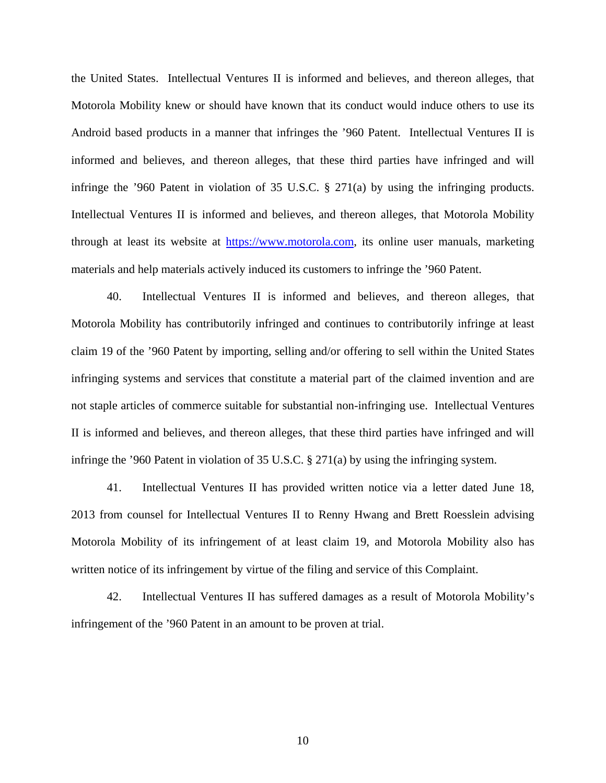the United States. Intellectual Ventures II is informed and believes, and thereon alleges, that Motorola Mobility knew or should have known that its conduct would induce others to use its Android based products in a manner that infringes the '960 Patent. Intellectual Ventures II is informed and believes, and thereon alleges, that these third parties have infringed and will infringe the '960 Patent in violation of 35 U.S.C.  $\S$  271(a) by using the infringing products. Intellectual Ventures II is informed and believes, and thereon alleges, that Motorola Mobility through at least its website at https://www.motorola.com, its online user manuals, marketing materials and help materials actively induced its customers to infringe the '960 Patent.

40. Intellectual Ventures II is informed and believes, and thereon alleges, that Motorola Mobility has contributorily infringed and continues to contributorily infringe at least claim 19 of the '960 Patent by importing, selling and/or offering to sell within the United States infringing systems and services that constitute a material part of the claimed invention and are not staple articles of commerce suitable for substantial non-infringing use. Intellectual Ventures II is informed and believes, and thereon alleges, that these third parties have infringed and will infringe the '960 Patent in violation of 35 U.S.C. § 271(a) by using the infringing system.

41. Intellectual Ventures II has provided written notice via a letter dated June 18, 2013 from counsel for Intellectual Ventures II to Renny Hwang and Brett Roesslein advising Motorola Mobility of its infringement of at least claim 19, and Motorola Mobility also has written notice of its infringement by virtue of the filing and service of this Complaint.

42. Intellectual Ventures II has suffered damages as a result of Motorola Mobility's infringement of the '960 Patent in an amount to be proven at trial.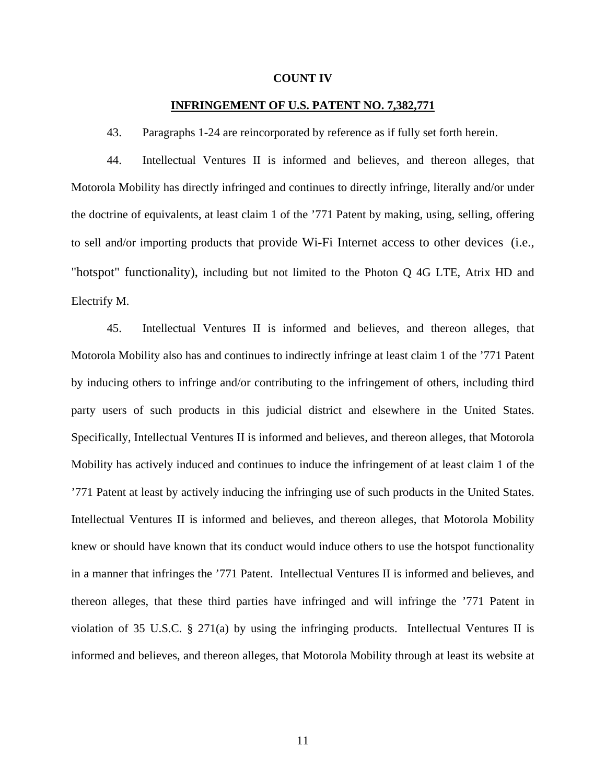#### **COUNT IV**

## **INFRINGEMENT OF U.S. PATENT NO. 7,382,771**

43. Paragraphs 1-24 are reincorporated by reference as if fully set forth herein.

44. Intellectual Ventures II is informed and believes, and thereon alleges, that Motorola Mobility has directly infringed and continues to directly infringe, literally and/or under the doctrine of equivalents, at least claim 1 of the '771 Patent by making, using, selling, offering to sell and/or importing products that provide Wi-Fi Internet access to other devices (i.e., "hotspot" functionality), including but not limited to the Photon Q 4G LTE, Atrix HD and Electrify M.

45. Intellectual Ventures II is informed and believes, and thereon alleges, that Motorola Mobility also has and continues to indirectly infringe at least claim 1 of the '771 Patent by inducing others to infringe and/or contributing to the infringement of others, including third party users of such products in this judicial district and elsewhere in the United States. Specifically, Intellectual Ventures II is informed and believes, and thereon alleges, that Motorola Mobility has actively induced and continues to induce the infringement of at least claim 1 of the '771 Patent at least by actively inducing the infringing use of such products in the United States. Intellectual Ventures II is informed and believes, and thereon alleges, that Motorola Mobility knew or should have known that its conduct would induce others to use the hotspot functionality in a manner that infringes the '771 Patent. Intellectual Ventures II is informed and believes, and thereon alleges, that these third parties have infringed and will infringe the '771 Patent in violation of 35 U.S.C. § 271(a) by using the infringing products. Intellectual Ventures II is informed and believes, and thereon alleges, that Motorola Mobility through at least its website at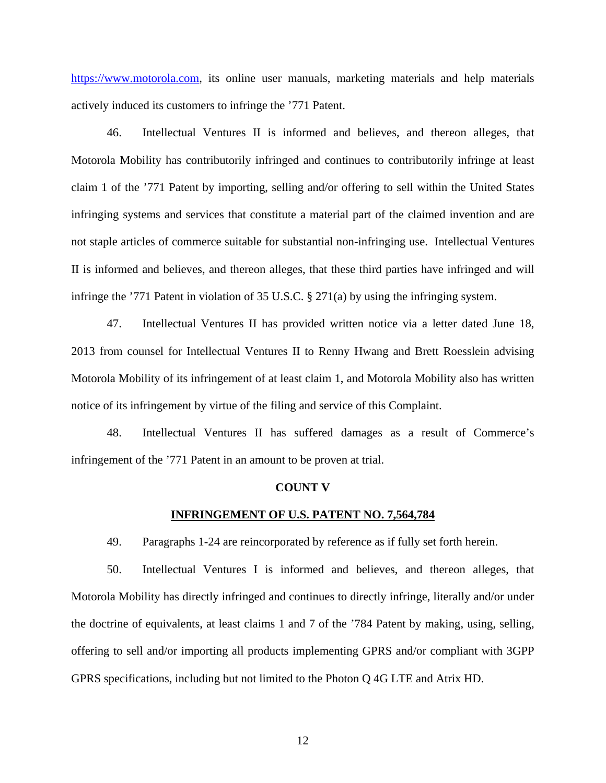https://www.motorola.com, its online user manuals, marketing materials and help materials actively induced its customers to infringe the '771 Patent.

46. Intellectual Ventures II is informed and believes, and thereon alleges, that Motorola Mobility has contributorily infringed and continues to contributorily infringe at least claim 1 of the '771 Patent by importing, selling and/or offering to sell within the United States infringing systems and services that constitute a material part of the claimed invention and are not staple articles of commerce suitable for substantial non-infringing use. Intellectual Ventures II is informed and believes, and thereon alleges, that these third parties have infringed and will infringe the '771 Patent in violation of 35 U.S.C. § 271(a) by using the infringing system.

47. Intellectual Ventures II has provided written notice via a letter dated June 18, 2013 from counsel for Intellectual Ventures II to Renny Hwang and Brett Roesslein advising Motorola Mobility of its infringement of at least claim 1, and Motorola Mobility also has written notice of its infringement by virtue of the filing and service of this Complaint.

48. Intellectual Ventures II has suffered damages as a result of Commerce's infringement of the '771 Patent in an amount to be proven at trial.

#### **COUNT V**

### **INFRINGEMENT OF U.S. PATENT NO. 7,564,784**

49. Paragraphs 1-24 are reincorporated by reference as if fully set forth herein.

50. Intellectual Ventures I is informed and believes, and thereon alleges, that Motorola Mobility has directly infringed and continues to directly infringe, literally and/or under the doctrine of equivalents, at least claims 1 and 7 of the '784 Patent by making, using, selling, offering to sell and/or importing all products implementing GPRS and/or compliant with 3GPP GPRS specifications, including but not limited to the Photon Q 4G LTE and Atrix HD.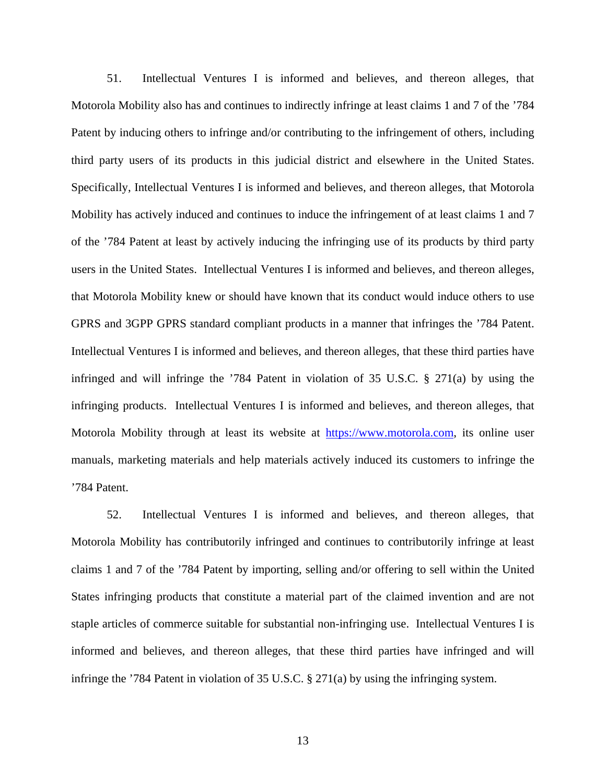51. Intellectual Ventures I is informed and believes, and thereon alleges, that Motorola Mobility also has and continues to indirectly infringe at least claims 1 and 7 of the '784 Patent by inducing others to infringe and/or contributing to the infringement of others, including third party users of its products in this judicial district and elsewhere in the United States. Specifically, Intellectual Ventures I is informed and believes, and thereon alleges, that Motorola Mobility has actively induced and continues to induce the infringement of at least claims 1 and 7 of the '784 Patent at least by actively inducing the infringing use of its products by third party users in the United States. Intellectual Ventures I is informed and believes, and thereon alleges, that Motorola Mobility knew or should have known that its conduct would induce others to use GPRS and 3GPP GPRS standard compliant products in a manner that infringes the '784 Patent. Intellectual Ventures I is informed and believes, and thereon alleges, that these third parties have infringed and will infringe the  $784$  Patent in violation of 35 U.S.C. § 271(a) by using the infringing products. Intellectual Ventures I is informed and believes, and thereon alleges, that Motorola Mobility through at least its website at https://www.motorola.com, its online user manuals, marketing materials and help materials actively induced its customers to infringe the '784 Patent.

52. Intellectual Ventures I is informed and believes, and thereon alleges, that Motorola Mobility has contributorily infringed and continues to contributorily infringe at least claims 1 and 7 of the '784 Patent by importing, selling and/or offering to sell within the United States infringing products that constitute a material part of the claimed invention and are not staple articles of commerce suitable for substantial non-infringing use. Intellectual Ventures I is informed and believes, and thereon alleges, that these third parties have infringed and will infringe the '784 Patent in violation of 35 U.S.C. § 271(a) by using the infringing system.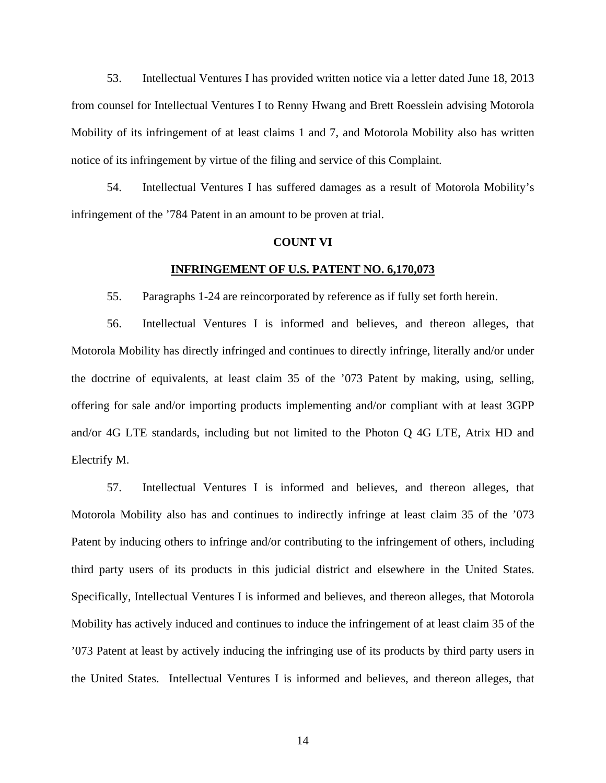53. Intellectual Ventures I has provided written notice via a letter dated June 18, 2013 from counsel for Intellectual Ventures I to Renny Hwang and Brett Roesslein advising Motorola Mobility of its infringement of at least claims 1 and 7, and Motorola Mobility also has written notice of its infringement by virtue of the filing and service of this Complaint.

54. Intellectual Ventures I has suffered damages as a result of Motorola Mobility's infringement of the '784 Patent in an amount to be proven at trial.

#### **COUNT VI**

## **INFRINGEMENT OF U.S. PATENT NO. 6,170,073**

55. Paragraphs 1-24 are reincorporated by reference as if fully set forth herein.

56. Intellectual Ventures I is informed and believes, and thereon alleges, that Motorola Mobility has directly infringed and continues to directly infringe, literally and/or under the doctrine of equivalents, at least claim 35 of the '073 Patent by making, using, selling, offering for sale and/or importing products implementing and/or compliant with at least 3GPP and/or 4G LTE standards, including but not limited to the Photon Q 4G LTE, Atrix HD and Electrify M.

57. Intellectual Ventures I is informed and believes, and thereon alleges, that Motorola Mobility also has and continues to indirectly infringe at least claim 35 of the '073 Patent by inducing others to infringe and/or contributing to the infringement of others, including third party users of its products in this judicial district and elsewhere in the United States. Specifically, Intellectual Ventures I is informed and believes, and thereon alleges, that Motorola Mobility has actively induced and continues to induce the infringement of at least claim 35 of the '073 Patent at least by actively inducing the infringing use of its products by third party users in the United States. Intellectual Ventures I is informed and believes, and thereon alleges, that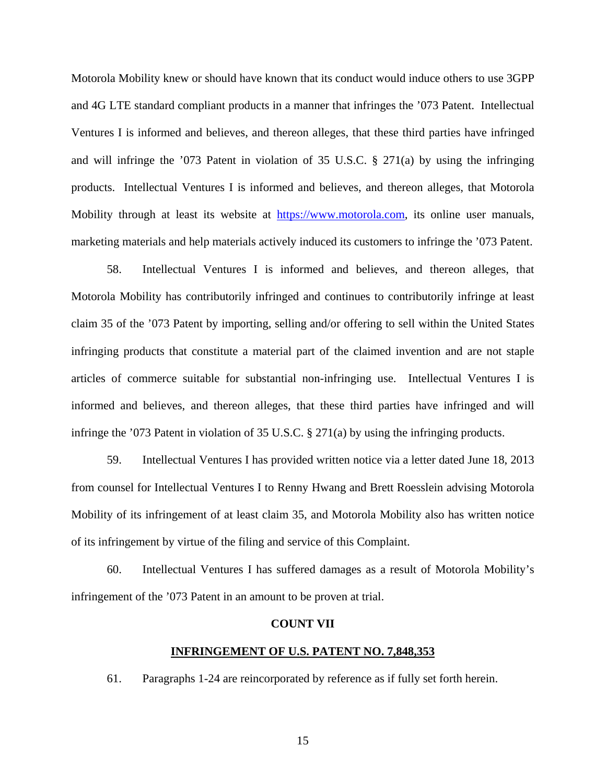Motorola Mobility knew or should have known that its conduct would induce others to use 3GPP and 4G LTE standard compliant products in a manner that infringes the '073 Patent. Intellectual Ventures I is informed and believes, and thereon alleges, that these third parties have infringed and will infringe the '073 Patent in violation of 35 U.S.C. § 271(a) by using the infringing products. Intellectual Ventures I is informed and believes, and thereon alleges, that Motorola Mobility through at least its website at https://www.motorola.com, its online user manuals, marketing materials and help materials actively induced its customers to infringe the '073 Patent.

58. Intellectual Ventures I is informed and believes, and thereon alleges, that Motorola Mobility has contributorily infringed and continues to contributorily infringe at least claim 35 of the '073 Patent by importing, selling and/or offering to sell within the United States infringing products that constitute a material part of the claimed invention and are not staple articles of commerce suitable for substantial non-infringing use. Intellectual Ventures I is informed and believes, and thereon alleges, that these third parties have infringed and will infringe the '073 Patent in violation of 35 U.S.C. § 271(a) by using the infringing products.

59. Intellectual Ventures I has provided written notice via a letter dated June 18, 2013 from counsel for Intellectual Ventures I to Renny Hwang and Brett Roesslein advising Motorola Mobility of its infringement of at least claim 35, and Motorola Mobility also has written notice of its infringement by virtue of the filing and service of this Complaint.

60. Intellectual Ventures I has suffered damages as a result of Motorola Mobility's infringement of the '073 Patent in an amount to be proven at trial.

#### **COUNT VII**

## **INFRINGEMENT OF U.S. PATENT NO. 7,848,353**

61. Paragraphs 1-24 are reincorporated by reference as if fully set forth herein.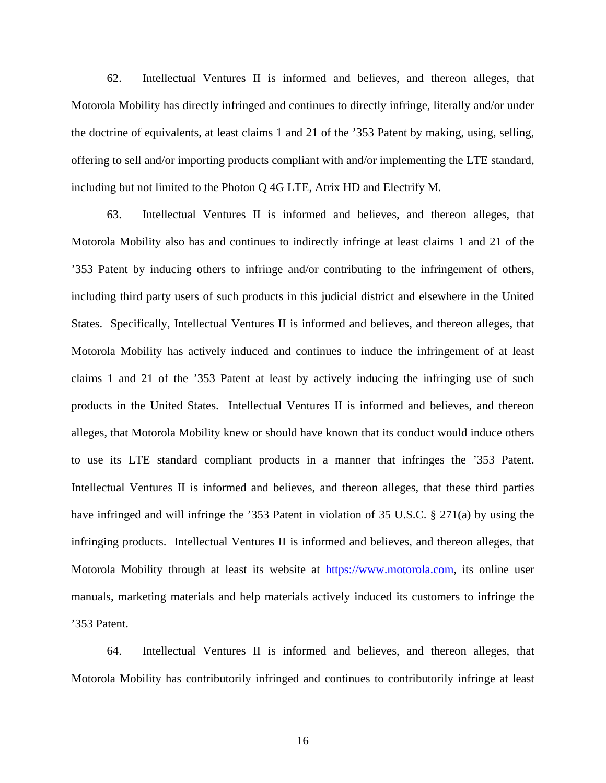62. Intellectual Ventures II is informed and believes, and thereon alleges, that Motorola Mobility has directly infringed and continues to directly infringe, literally and/or under the doctrine of equivalents, at least claims 1 and 21 of the '353 Patent by making, using, selling, offering to sell and/or importing products compliant with and/or implementing the LTE standard, including but not limited to the Photon Q 4G LTE, Atrix HD and Electrify M.

63. Intellectual Ventures II is informed and believes, and thereon alleges, that Motorola Mobility also has and continues to indirectly infringe at least claims 1 and 21 of the '353 Patent by inducing others to infringe and/or contributing to the infringement of others, including third party users of such products in this judicial district and elsewhere in the United States. Specifically, Intellectual Ventures II is informed and believes, and thereon alleges, that Motorola Mobility has actively induced and continues to induce the infringement of at least claims 1 and 21 of the '353 Patent at least by actively inducing the infringing use of such products in the United States. Intellectual Ventures II is informed and believes, and thereon alleges, that Motorola Mobility knew or should have known that its conduct would induce others to use its LTE standard compliant products in a manner that infringes the '353 Patent. Intellectual Ventures II is informed and believes, and thereon alleges, that these third parties have infringed and will infringe the '353 Patent in violation of 35 U.S.C. § 271(a) by using the infringing products. Intellectual Ventures II is informed and believes, and thereon alleges, that Motorola Mobility through at least its website at https://www.motorola.com, its online user manuals, marketing materials and help materials actively induced its customers to infringe the '353 Patent.

64. Intellectual Ventures II is informed and believes, and thereon alleges, that Motorola Mobility has contributorily infringed and continues to contributorily infringe at least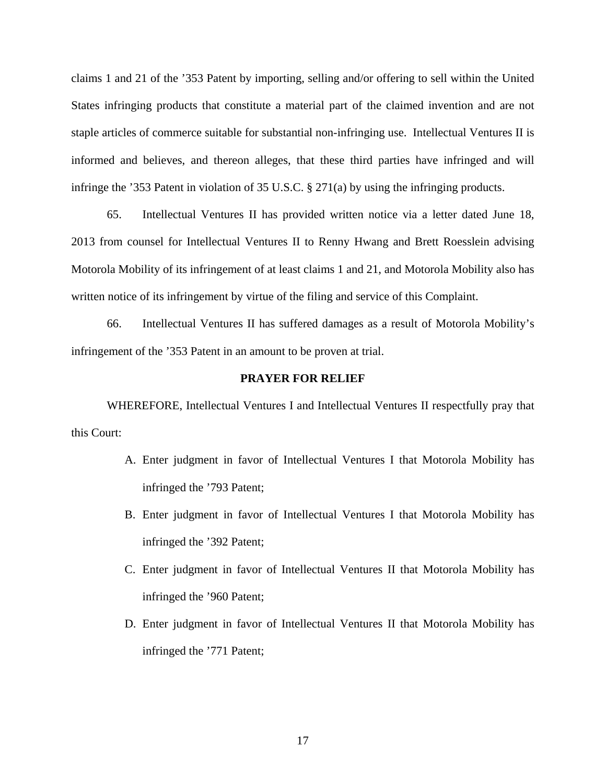claims 1 and 21 of the '353 Patent by importing, selling and/or offering to sell within the United States infringing products that constitute a material part of the claimed invention and are not staple articles of commerce suitable for substantial non-infringing use. Intellectual Ventures II is informed and believes, and thereon alleges, that these third parties have infringed and will infringe the '353 Patent in violation of 35 U.S.C. § 271(a) by using the infringing products.

65. Intellectual Ventures II has provided written notice via a letter dated June 18, 2013 from counsel for Intellectual Ventures II to Renny Hwang and Brett Roesslein advising Motorola Mobility of its infringement of at least claims 1 and 21, and Motorola Mobility also has written notice of its infringement by virtue of the filing and service of this Complaint.

66. Intellectual Ventures II has suffered damages as a result of Motorola Mobility's infringement of the '353 Patent in an amount to be proven at trial.

## **PRAYER FOR RELIEF**

WHEREFORE, Intellectual Ventures I and Intellectual Ventures II respectfully pray that this Court:

- A. Enter judgment in favor of Intellectual Ventures I that Motorola Mobility has infringed the '793 Patent;
- B. Enter judgment in favor of Intellectual Ventures I that Motorola Mobility has infringed the '392 Patent;
- C. Enter judgment in favor of Intellectual Ventures II that Motorola Mobility has infringed the '960 Patent;
- D. Enter judgment in favor of Intellectual Ventures II that Motorola Mobility has infringed the '771 Patent;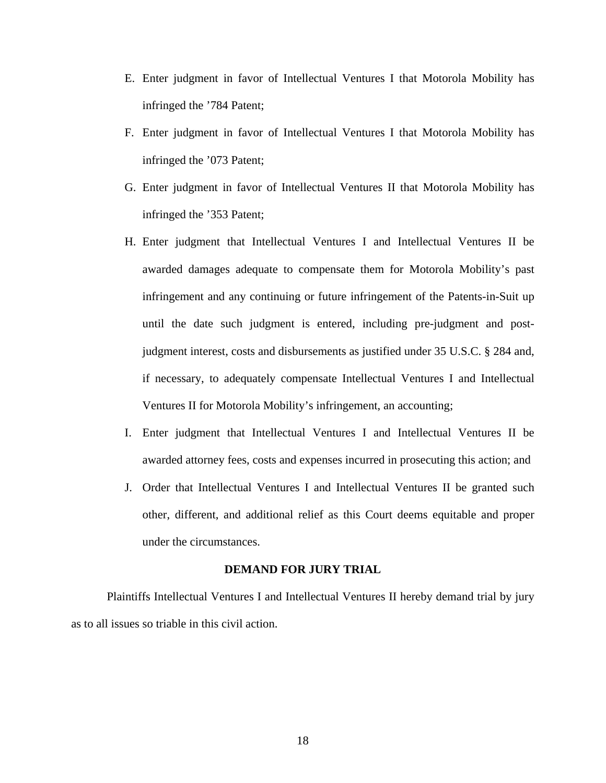- E. Enter judgment in favor of Intellectual Ventures I that Motorola Mobility has infringed the '784 Patent;
- F. Enter judgment in favor of Intellectual Ventures I that Motorola Mobility has infringed the '073 Patent;
- G. Enter judgment in favor of Intellectual Ventures II that Motorola Mobility has infringed the '353 Patent;
- H. Enter judgment that Intellectual Ventures I and Intellectual Ventures II be awarded damages adequate to compensate them for Motorola Mobility's past infringement and any continuing or future infringement of the Patents-in-Suit up until the date such judgment is entered, including pre-judgment and postjudgment interest, costs and disbursements as justified under 35 U.S.C. § 284 and, if necessary, to adequately compensate Intellectual Ventures I and Intellectual Ventures II for Motorola Mobility's infringement, an accounting;
- I. Enter judgment that Intellectual Ventures I and Intellectual Ventures II be awarded attorney fees, costs and expenses incurred in prosecuting this action; and
- J. Order that Intellectual Ventures I and Intellectual Ventures II be granted such other, different, and additional relief as this Court deems equitable and proper under the circumstances.

## **DEMAND FOR JURY TRIAL**

Plaintiffs Intellectual Ventures I and Intellectual Ventures II hereby demand trial by jury as to all issues so triable in this civil action.